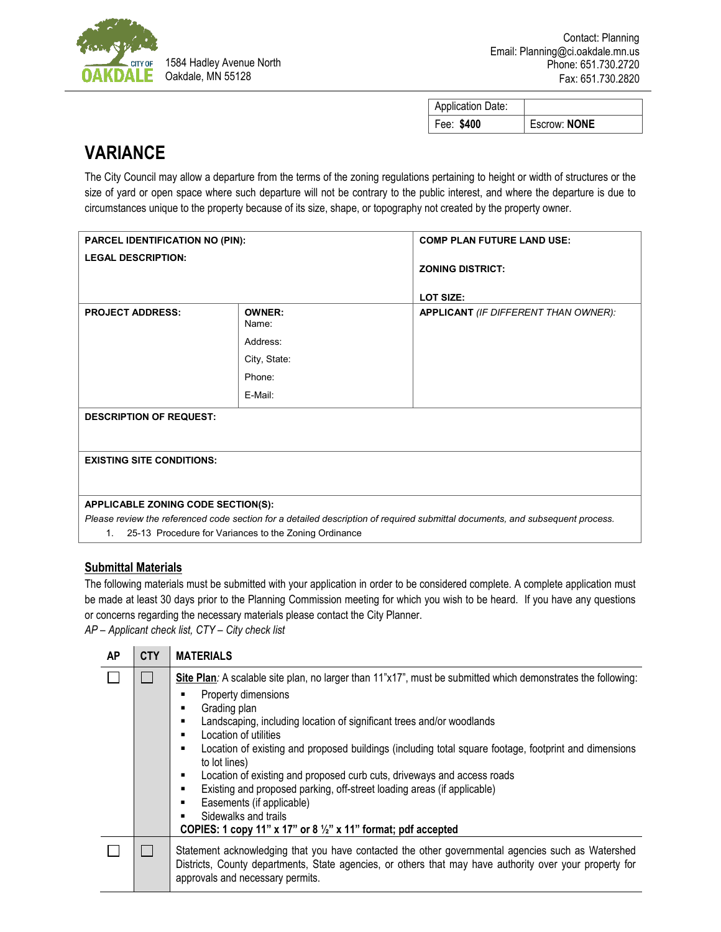

| <b>Application Date:</b> |              |
|--------------------------|--------------|
| Fee: \$400               | Escrow: NONE |

## **VARIANCE**

The City Council may allow a departure from the terms of the zoning regulations pertaining to height or width of structures or the size of yard or open space where such departure will not be contrary to the public interest, and where the departure is due to circumstances unique to the property because of its size, shape, or topography not created by the property owner.

| PARCEL IDENTIFICATION NO (PIN):           |                                                                         | <b>COMP PLAN FUTURE LAND USE:</b>                                                                                             |  |  |
|-------------------------------------------|-------------------------------------------------------------------------|-------------------------------------------------------------------------------------------------------------------------------|--|--|
| <b>LEGAL DESCRIPTION:</b>                 |                                                                         | <b>ZONING DISTRICT:</b><br><b>LOT SIZE:</b>                                                                                   |  |  |
| <b>PROJECT ADDRESS:</b>                   | <b>OWNER:</b><br>Name:<br>Address:<br>City, State:<br>Phone:<br>E-Mail: | APPLICANT (IF DIFFERENT THAN OWNER):                                                                                          |  |  |
| <b>DESCRIPTION OF REQUEST:</b>            |                                                                         |                                                                                                                               |  |  |
| <b>EXISTING SITE CONDITIONS:</b>          |                                                                         |                                                                                                                               |  |  |
| <b>APPLICABLE ZONING CODE SECTION(S):</b> | 1. 25-13 Procedure for Variances to the Zoning Ordinance                | Please review the referenced code section for a detailed description of required submittal documents, and subsequent process. |  |  |

## **Submittal Materials**

The following materials must be submitted with your application in order to be considered complete. A complete application must be made at least 30 days prior to the Planning Commission meeting for which you wish to be heard. If you have any questions or concerns regarding the necessary materials please contact the City Planner.

*AP – Applicant check list, CTY – City check list*

| <b>AP</b> | <b>CTY</b> | <b>MATERIALS</b>                                                                                                                                                                                                                                                                                                                                                                                                                                                                                                                                                                                                                                                                                               |
|-----------|------------|----------------------------------------------------------------------------------------------------------------------------------------------------------------------------------------------------------------------------------------------------------------------------------------------------------------------------------------------------------------------------------------------------------------------------------------------------------------------------------------------------------------------------------------------------------------------------------------------------------------------------------------------------------------------------------------------------------------|
|           |            | Site Plan: A scalable site plan, no larger than 11"x17", must be submitted which demonstrates the following:<br>Property dimensions<br>г<br>Grading plan<br>п<br>Landscaping, including location of significant trees and/or woodlands<br>п<br>Location of utilities<br>п<br>Location of existing and proposed buildings (including total square footage, footprint and dimensions<br>٠<br>to lot lines)<br>Location of existing and proposed curb cuts, driveways and access roads<br>٠<br>Existing and proposed parking, off-street loading areas (if applicable)<br>п<br>Easements (if applicable)<br>п<br>Sidewalks and trails<br>COPIES: 1 copy 11" x 17" or 8 $\frac{1}{2}$ " x 11" format; pdf accepted |
|           |            | Statement acknowledging that you have contacted the other governmental agencies such as Watershed<br>Districts, County departments, State agencies, or others that may have authority over your property for<br>approvals and necessary permits.                                                                                                                                                                                                                                                                                                                                                                                                                                                               |